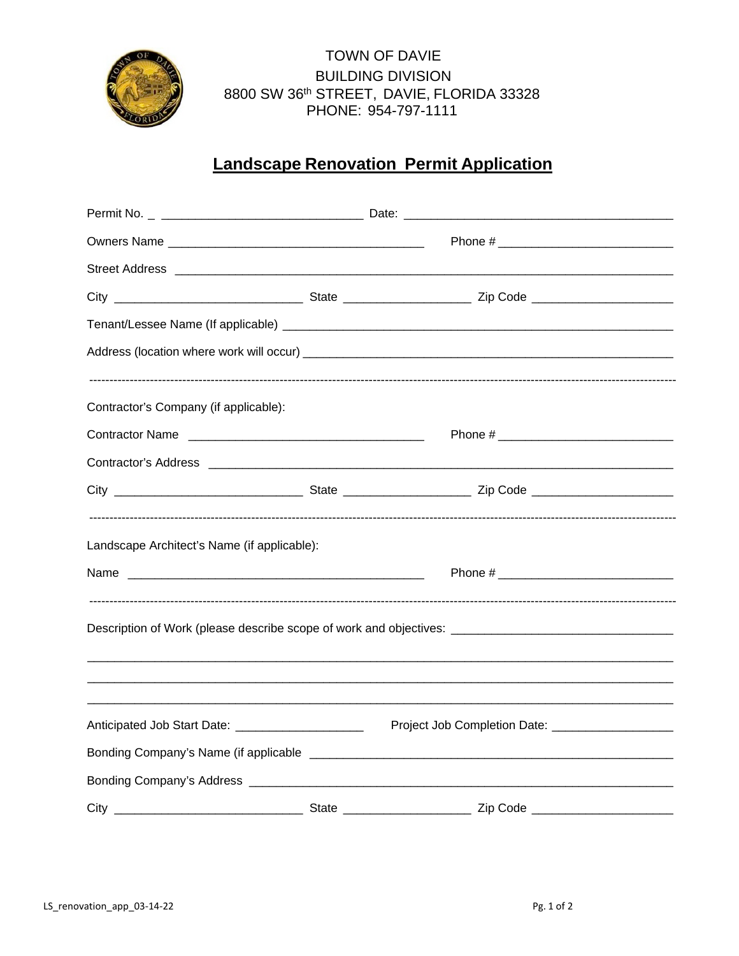

**TOWN OF DAVIE BUILDING DIVISION** 8800 SW 36th STREET, DAVIE, FLORIDA 33328 PHONE: 954-797-1111

## **Landscape Renovation Permit Application**

| Contractor's Company (if applicable):                                                                |                                                    |  |
|------------------------------------------------------------------------------------------------------|----------------------------------------------------|--|
|                                                                                                      |                                                    |  |
|                                                                                                      |                                                    |  |
|                                                                                                      |                                                    |  |
| Landscape Architect's Name (if applicable):                                                          |                                                    |  |
|                                                                                                      |                                                    |  |
| Description of Work (please describe scope of work and objectives: _________________________________ |                                                    |  |
| Anticipated Job Start Date: _____________________                                                    | Project Job Completion Date: _____________________ |  |
|                                                                                                      |                                                    |  |
|                                                                                                      |                                                    |  |
|                                                                                                      |                                                    |  |